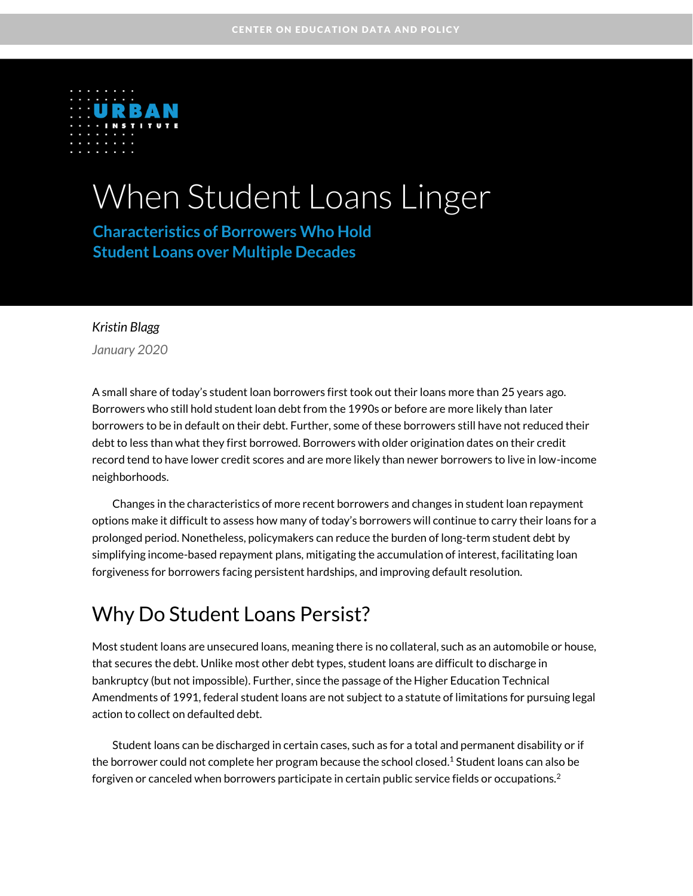

# When Student Loans Linger

**Characteristics of Borrowers Who Hold Student Loans over Multiple Decades**

### *Kristin Blagg*

*January 2020*

A small share of today's student loan borrowers first took out their loans more than 25 years ago. Borrowers who still hold student loan debt from the 1990s or before are more likely than later borrowers to be in default on their debt. Further, some of these borrowers still have not reduced their debt to less than what they first borrowed. Borrowers with older origination dates on their credit record tend to have lower credit scores and are more likely than newer borrowers to live in low-income neighborhoods.

Changes in the characteristics of more recent borrowers and changes in student loan repayment options make it difficult to assess how many of today's borrowers will continue to carry their loans for a prolonged period. Nonetheless, policymakers can reduce the burden of long-term student debt by simplifying income-based repayment plans, mitigating the accumulation of interest, facilitating loan forgiveness for borrowers facing persistent hardships, and improving default resolution.

# Why Do Student Loans Persist?

Most student loans are unsecured loans, meaning there is no collateral, such as an automobile or house, that secures the debt. Unlike most other debt types, student loans are difficult to discharge in bankruptcy (but not impossible). Further, since the passage of the Higher Education Technical Amendments of 1991, federal student loans are not subject to a statute of limitations for pursuing legal action to collect on defaulted debt.

Student loans can be discharged in certain cases, such as for a total and permanent disability or if the borrower could not complete her program because the school closed. <sup>1</sup> Student loans can also be forgiven or canceled when borrowers participate in certain public service fields or occupations.<sup>2</sup>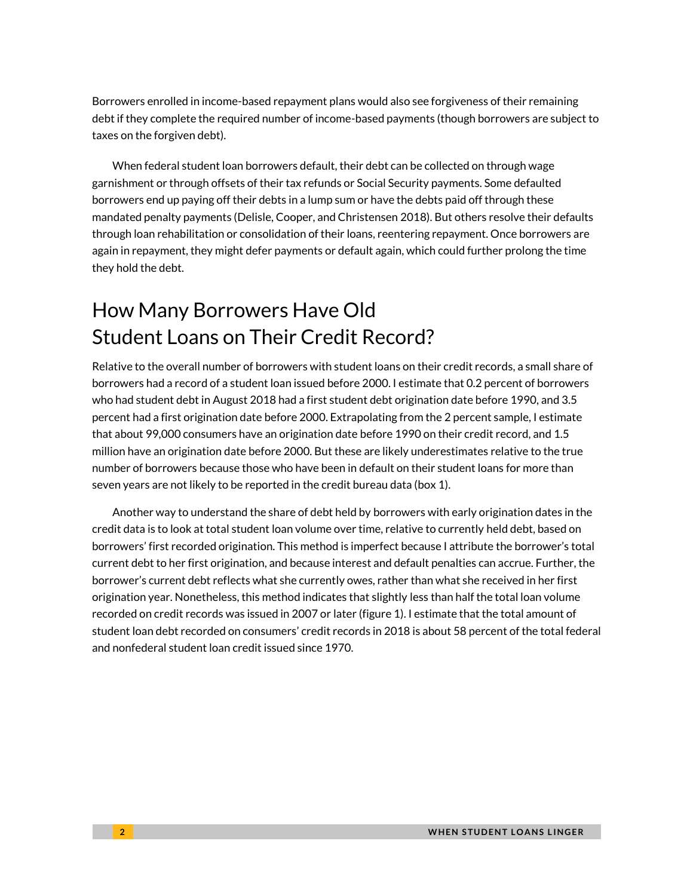Borrowers enrolled in income-based repayment plans would also see forgiveness of their remaining debt if they complete the required number of income-based payments (though borrowers are subject to taxes on the forgiven debt).

When federal student loan borrowers default, their debt can be collected on through wage garnishment or through offsets of their tax refunds or Social Security payments. Some defaulted borrowers end up paying off their debts in a lump sum or have the debts paid off through these mandated penalty payments (Delisle, Cooper, and Christensen 2018). But others resolve their defaults through loan rehabilitation or consolidation of their loans, reentering repayment. Once borrowers are again in repayment, they might defer payments or default again, which could further prolong the time they hold the debt.

# How Many Borrowers Have Old Student Loans on Their Credit Record?

Relative to the overall number of borrowers with student loans on their credit records, a small share of borrowers had a record of a student loan issued before 2000. I estimate that 0.2 percent of borrowers who had student debt in August 2018 had a first student debt origination date before 1990, and 3.5 percent had a first origination date before 2000. Extrapolating from the 2 percent sample, I estimate that about 99,000 consumers have an origination date before 1990 on their credit record, and 1.5 million have an origination date before 2000. But these are likely underestimates relative to the true number of borrowers because those who have been in default on their student loans for more than seven years are not likely to be reported in the credit bureau data (box 1).

Another way to understand the share of debt held by borrowers with early origination dates in the credit data is to look at total student loan volume over time, relative to currently held debt, based on borrowers' first recorded origination. This method is imperfect because I attribute the borrower's total current debt to her first origination, and because interest and default penalties can accrue. Further, the borrower's current debt reflects what she currently owes, rather than what she received in her first origination year. Nonetheless, this method indicates that slightly less than half the total loan volume recorded on credit records was issued in 2007 or later (figure 1). I estimate that the total amount of student loan debt recorded on consumers' credit records in 2018 is about 58 percent of the total federal and nonfederal student loan credit issued since 1970.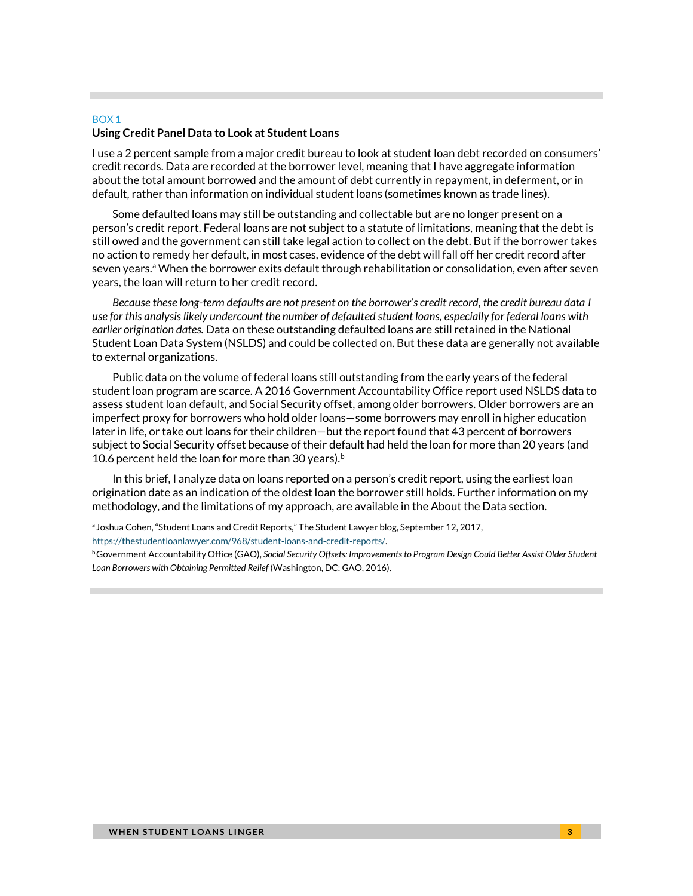### BOX 1 **Using Credit Panel Data to Look at Student Loans**

I use a 2 percent sample from a major credit bureau to look at student loan debt recorded on consumers' credit records. Data are recorded at the borrower level, meaning that I have aggregate information about the total amount borrowed and the amount of debt currently in repayment, in deferment, or in default, rather than information on individual student loans (sometimes known as trade lines).

Some defaulted loans may still be outstanding and collectable but are no longer present on a person's credit report. Federal loans are not subject to a statute of limitations, meaning that the debt is still owed and the government can still take legal action to collect on the debt. But if the borrower takes no action to remedy her default, in most cases, evidence of the debt will fall off her credit record after seven years.<sup>a</sup> When the borrower exits default through rehabilitation or consolidation, even after seven years, the loan will return to her credit record.

*Because these long-term defaults are not present on the borrower's credit record, the credit bureau data I use for this analysis likely undercount the number of defaulted student loans, especially for federal loans with earlier origination dates.* Data on these outstanding defaulted loans are still retained in the National Student Loan Data System (NSLDS) and could be collected on. But these data are generally not available to external organizations.

Public data on the volume of federal loans still outstanding from the early years of the federal student loan program are scarce. A 2016 Government Accountability Office report used NSLDS data to assess student loan default, and Social Security offset, among older borrowers. Older borrowers are an imperfect proxy for borrowers who hold older loans—some borrowers may enroll in higher education later in life, or take out loans for their children—but the report found that 43 percent of borrowers subject to Social Security offset because of their default had held the loan for more than 20 years (and 10.6 percent held the loan for more than 30 years).<sup>b</sup>

In this brief, I analyze data on loans reported on a person's credit report, using the earliest loan origination date as an indication of the oldest loan the borrower still holds. Further information on my methodology, and the limitations of my approach, are available in the About the Data section.

<sup>a</sup> Joshua Cohen, "Student Loans and Credit Reports," The Student Lawyer blog, September 12, 2017,

[https://thestudentloanlawyer.com/968/student-loans-and-credit-reports/.](https://thestudentloanlawyer.com/968/student-loans-and-credit-reports/)

<sup>b</sup> Government Accountability Office (GAO), Social Security Offsets: Improvements to Program Design Could Better Assist Older Student *Loan Borrowers with Obtaining Permitted Relief* (Washington, DC: GAO, 2016).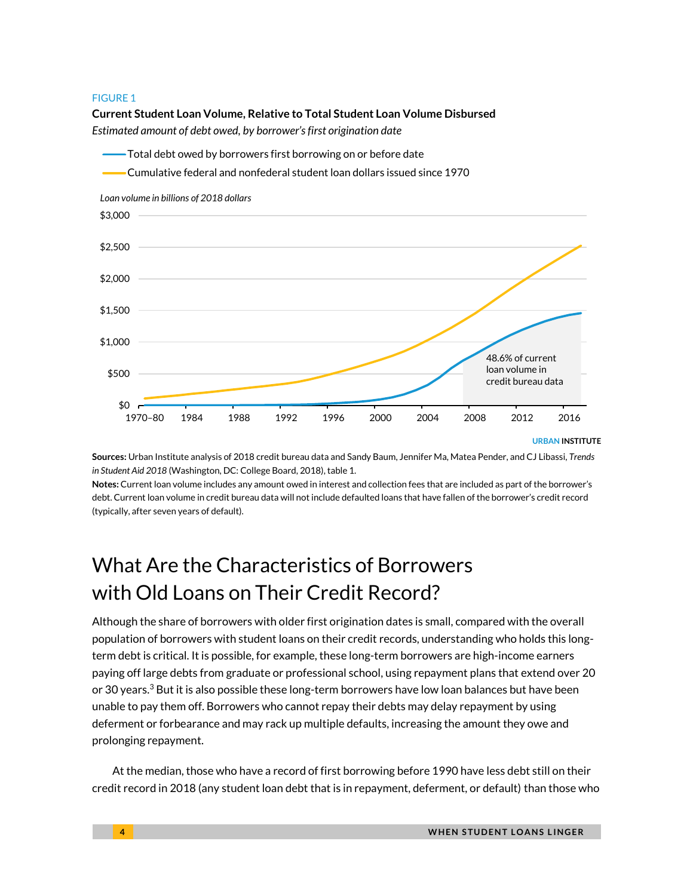

**Sources:** Urban Institute analysis of 2018 credit bureau data and Sandy Baum, Jennifer Ma, Matea Pender, and CJ Libassi, *Trends in Student Aid 2018* (Washington, DC: College Board, 2018), table 1.

**Notes:** Current loan volume includes any amount owed in interest and collection fees that are included as part of the borrower's debt. Current loan volume in credit bureau data will not include defaulted loans that have fallen of the borrower's credit record (typically, after seven years of default).

# What Are the Characteristics of Borrowers with Old Loans on Their Credit Record?

Although the share of borrowers with older first origination dates is small, compared with the overall population of borrowers with student loans on their credit records, understanding who holds this longterm debt is critical. It is possible, for example, these long-term borrowers are high-income earners paying off large debts from graduate or professional school, using repayment plans that extend over 20 or 30 years.<sup>3</sup> But it is also possible these long-term borrowers have low loan balances but have been unable to pay them off. Borrowers who cannot repay their debts may delay repayment by using deferment or forbearance and may rack up multiple defaults, increasing the amount they owe and prolonging repayment.

At the median, those who have a record of first borrowing before 1990 have less debt still on their credit record in 2018 (any student loan debt that is in repayment, deferment, or default) than those who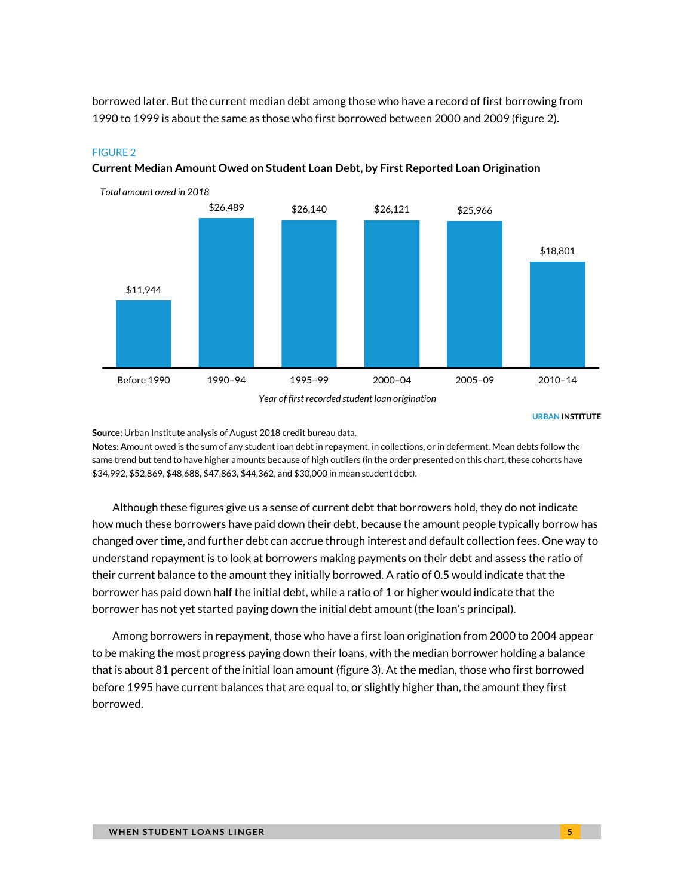borrowed later. But the current median debt among those who have a record of first borrowing from 1990 to 1999 is about the same as those who first borrowed between 2000 and 2009 (figure 2).

### FIGURE 2



**Current Median Amount Owed on Student Loan Debt, by First Reported Loan Origination**

URBAN INSTITUTE

**Source:** Urban Institute analysis of August 2018 credit bureau data.

**Notes:** Amount owed is the sum of any student loan debt in repayment, in collections, or in deferment. Mean debts follow the same trend but tend to have higher amounts because of high outliers (in the order presented on this chart, these cohorts have \$34,992, \$52,869, \$48,688, \$47,863, \$44,362, and \$30,000 in mean student debt).

Although these figures give us a sense of current debt that borrowers hold, they do not indicate how much these borrowers have paid down their debt, because the amount people typically borrow has changed over time, and further debt can accrue through interest and default collection fees. One way to understand repayment is to look at borrowers making payments on their debt and assess the ratio of their current balance to the amount they initially borrowed. A ratio of 0.5 would indicate that the borrower has paid down half the initial debt, while a ratio of 1 or higher would indicate that the borrower has not yet started paying down the initial debt amount (the loan's principal).

Among borrowers in repayment, those who have a first loan origination from 2000 to 2004 appear to be making the most progress paying down their loans, with the median borrower holding a balance that is about 81 percent of the initial loan amount (figure 3). At the median, those who first borrowed before 1995 have current balances that are equal to, or slightly higher than, the amount they first borrowed.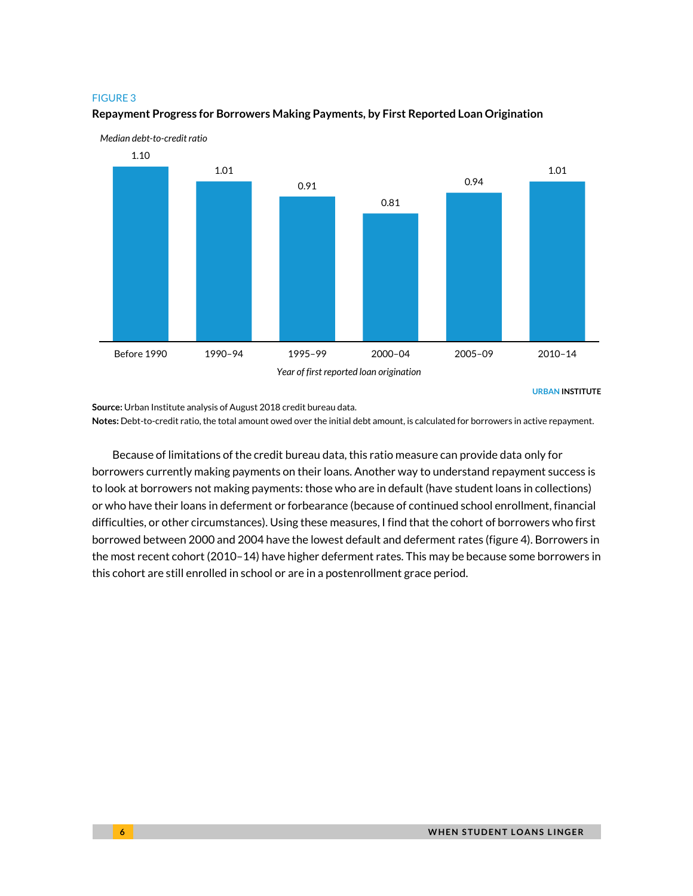

### **Repayment Progress for Borrowers Making Payments, by First Reported Loan Origination**

URBAN INSTITUTE

**Source:** Urban Institute analysis of August 2018 credit bureau data.

**Notes:** Debt-to-credit ratio, the total amount owed over the initial debt amount, is calculated for borrowers in active repayment.

Because of limitations of the credit bureau data, this ratio measure can provide data only for borrowers currently making payments on their loans. Another way to understand repayment success is to look at borrowers not making payments: those who are in default (have student loans in collections) or who have their loans in deferment or forbearance (because of continued school enrollment, financial difficulties, or other circumstances). Using these measures, I find that the cohort of borrowers who first borrowed between 2000 and 2004 have the lowest default and deferment rates (figure 4). Borrowers in the most recent cohort (2010–14) have higher deferment rates. This may be because some borrowers in this cohort are still enrolled in school or are in a postenrollment grace period.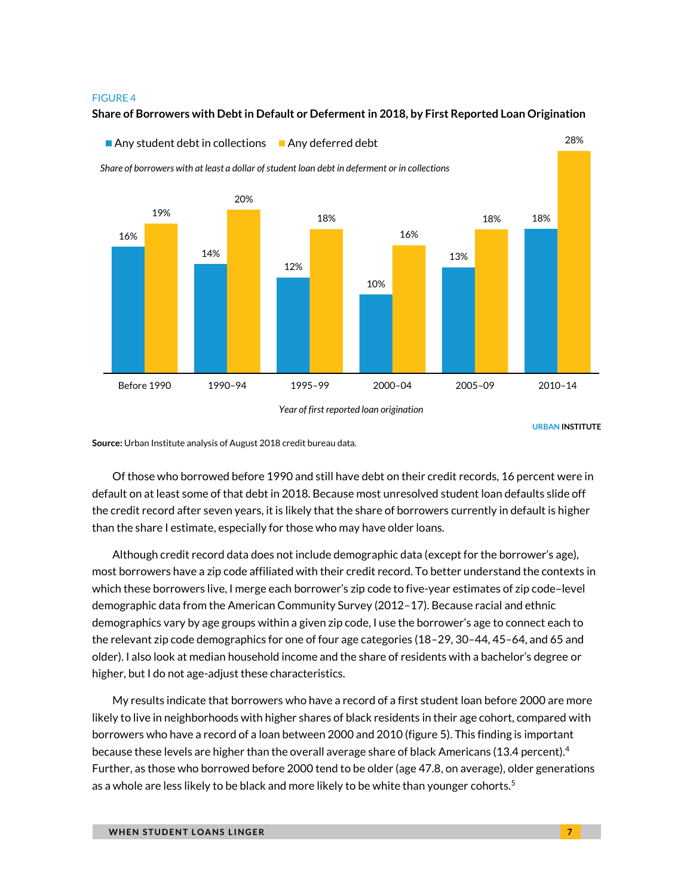### **Share of Borrowers with Debt in Default or Deferment in 2018, by First Reported Loan Origination**



URBAN INSTITUTE

**Source:** Urban Institute analysis of August 2018 credit bureau data.

Of those who borrowed before 1990 and still have debt on their credit records, 16 percent were in default on at least some of that debt in 2018. Because most unresolved student loan defaults slide off the credit record after seven years, it is likely that the share of borrowers currently in default is higher than the share I estimate, especially for those who may have older loans.

Although credit record data does not include demographic data (except for the borrower's age), most borrowers have a zip code affiliated with their credit record. To better understand the contexts in which these borrowers live, I merge each borrower's zip code to five-year estimates of zip code–level demographic data from the American Community Survey (2012–17). Because racial and ethnic demographics vary by age groups within a given zip code, I use the borrower's age to connect each to the relevant zip code demographics for one of four age categories (18–29, 30–44, 45–64, and 65 and older). I also look at median household income and the share of residents with a bachelor's degree or higher, but I do not age-adjust these characteristics.

My results indicate that borrowers who have a record of a first student loan before 2000 are more likely to live in neighborhoods with higher shares of black residents in their age cohort, compared with borrowers who have a record of a loan between 2000 and 2010 (figure 5). This finding is important because these levels are higher than the overall average share of black Americans (13.4 percent). $4$ Further, as those who borrowed before 2000 tend to be older (age 47.8, on average), older generations as a whole are less likely to be black and more likely to be white than younger cohorts.<sup>5</sup>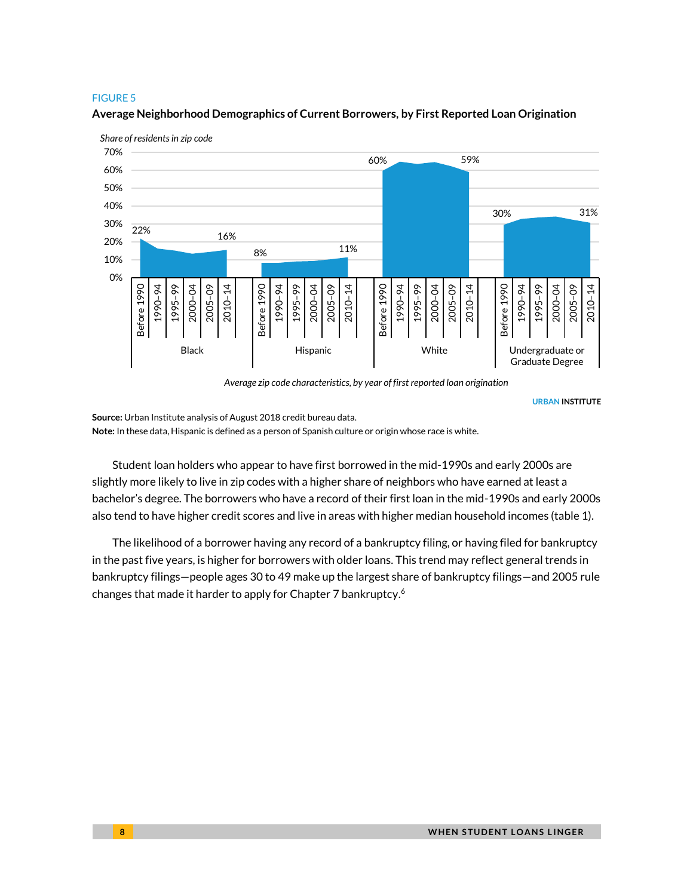

**Average Neighborhood Demographics of Current Borrowers, by First Reported Loan Origination**

*Average zip code characteristics, by year of first reported loan origination*

URBAN INSTITUTE

**Source:** Urban Institute analysis of August 2018 credit bureau data. **Note:** In these data, Hispanic is defined as a person of Spanish culture or origin whose race is white.

Student loan holders who appear to have first borrowed in the mid-1990s and early 2000s are slightly more likely to live in zip codes with a higher share of neighbors who have earned at least a bachelor's degree. The borrowers who have a record of their first loan in the mid-1990s and early 2000s also tend to have higher credit scores and live in areas with higher median household incomes (table 1).

The likelihood of a borrower having any record of a bankruptcy filing, or having filed for bankruptcy in the past five years, is higher for borrowers with older loans. This trend may reflect general trends in bankruptcy filings—people ages 30 to 49 make up the largest share of bankruptcy filings—and 2005 rule changes that made it harder to apply for Chapter 7 bankruptcy. 6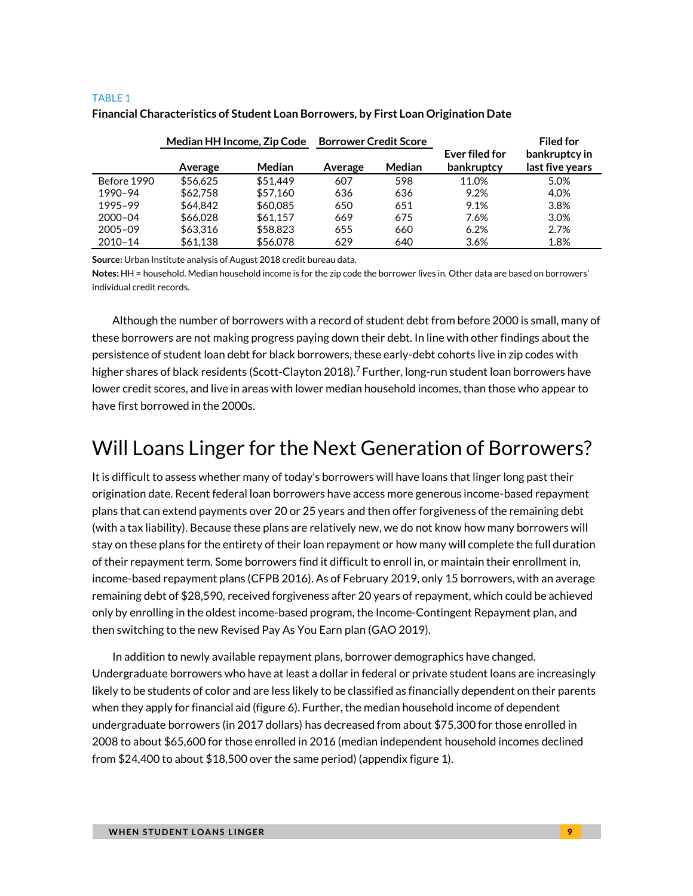#### TABLE 1

|             | Median HH Income, Zip Code |               | <b>Borrower Credit Score</b> |        |                              | <b>Filed for</b>                 |
|-------------|----------------------------|---------------|------------------------------|--------|------------------------------|----------------------------------|
|             | Average                    | <b>Median</b> | Average                      | Median | Ever filed for<br>bankruptcy | bankruptcy in<br>last five years |
| Before 1990 | \$56.625                   | \$51.449      | 607                          | 598    | 11.0%                        | 5.0%                             |
| 1990-94     | \$62,758                   | \$57,160      | 636                          | 636    | 9.2%                         | 4.0%                             |
| 1995-99     | \$64,842                   | \$60,085      | 650                          | 651    | 9.1%                         | 3.8%                             |
| $2000 - 04$ | \$66,028                   | \$61.157      | 669                          | 675    | 7.6%                         | 3.0%                             |
| $2005 - 09$ | \$63,316                   | \$58,823      | 655                          | 660    | 6.2%                         | 2.7%                             |
| $2010 - 14$ | \$61,138                   | \$56,078      | 629                          | 640    | 3.6%                         | 1.8%                             |

### **Financial Characteristics of Student Loan Borrowers, by First Loan Origination Date**

**Source:** Urban Institute analysis of August 2018 credit bureau data.

**Notes:** HH = household. Median household income is for the zip code the borrower lives in. Other data are based on borrowers' individual credit records.

Although the number of borrowers with a record of student debt from before 2000 is small, many of these borrowers are not making progress paying down their debt. In line with other findings about the persistence of student loan debt for black borrowers, these early-debt cohorts live in zip codes with higher shares of black residents (Scott-Clayton 2018).<sup>7</sup> Further, long-run student loan borrowers have lower credit scores, and live in areas with lower median household incomes, than those who appear to have first borrowed in the 2000s.

# Will Loans Linger for the Next Generation of Borrowers?

It is difficult to assess whether many of today's borrowers will have loans that linger long past their origination date. Recent federal loan borrowers have access more generous income-based repayment plans that can extend payments over 20 or 25 years and then offer forgiveness of the remaining debt (with a tax liability). Because these plans are relatively new, we do not know how many borrowers will stay on these plans for the entirety of their loan repayment or how many will complete the full duration of their repayment term. Some borrowers find it difficult to enroll in, or maintain their enrollment in, income-based repayment plans (CFPB 2016). As of February 2019, only 15 borrowers, with an average remaining debt of \$28,590, received forgiveness after 20 years of repayment, which could be achieved only by enrolling in the oldest income-based program, the Income-Contingent Repayment plan, and then switching to the new Revised Pay As You Earn plan (GAO 2019).

In addition to newly available repayment plans, borrower demographics have changed. Undergraduate borrowers who have at least a dollar in federal or private student loans are increasingly likely to be students of color and are less likely to be classified as financially dependent on their parents when they apply for financial aid (figure 6). Further, the median household income of dependent undergraduate borrowers (in 2017 dollars) has decreased from about \$75,300 for those enrolled in 2008 to about \$65,600 for those enrolled in 2016 (median independent household incomes declined from \$24,400 to about \$18,500 over the same period) (appendix figure 1).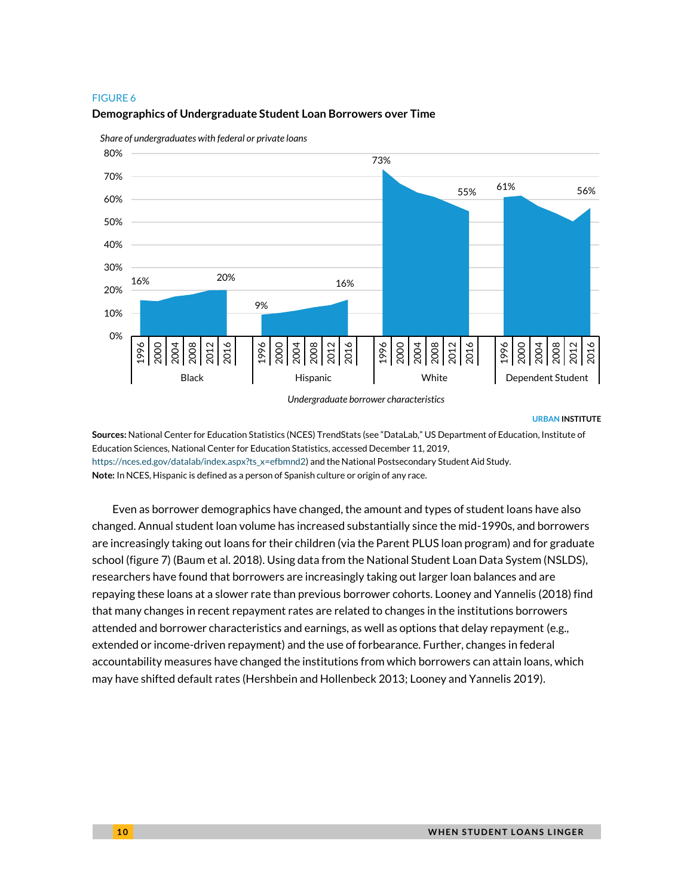

**Demographics of Undergraduate Student Loan Borrowers over Time**

*Share of undergraduates with federal or private loans*

*Undergraduate borrower characteristics*

#### URBAN INSTITUTE

**Sources:** National Center for Education Statistics (NCES) TrendStats (see "DataLab," US Department of Education, Institute of Education Sciences, National Center for Education Statistics, accessed December 11, 2019, [https://nces.ed.gov/datalab/index.aspx?ts\\_x=efbmnd2\)](https://nces.ed.gov/datalab/index.aspx?ts_x=efbmnd2) and the National Postsecondary Student Aid Study. **Note:** In NCES, Hispanic is defined as a person of Spanish culture or origin of any race.

Even as borrower demographics have changed, the amount and types of student loans have also changed. Annual student loan volume has increased substantially since the mid-1990s, and borrowers are increasingly taking out loans for their children (via the Parent PLUS loan program) and for graduate school (figure 7) (Baum et al. 2018). Using data from the National Student Loan Data System (NSLDS), researchers have found that borrowers are increasingly taking out larger loan balances and are repaying these loans at a slower rate than previous borrower cohorts. Looney and Yannelis (2018) find that many changes in recent repayment rates are related to changes in the institutions borrowers attended and borrower characteristics and earnings, as well as options that delay repayment (e.g., extended or income-driven repayment) and the use of forbearance. Further, changes in federal accountability measures have changed the institutions from which borrowers can attain loans, which may have shifted default rates (Hershbein and Hollenbeck 2013; Looney and Yannelis 2019).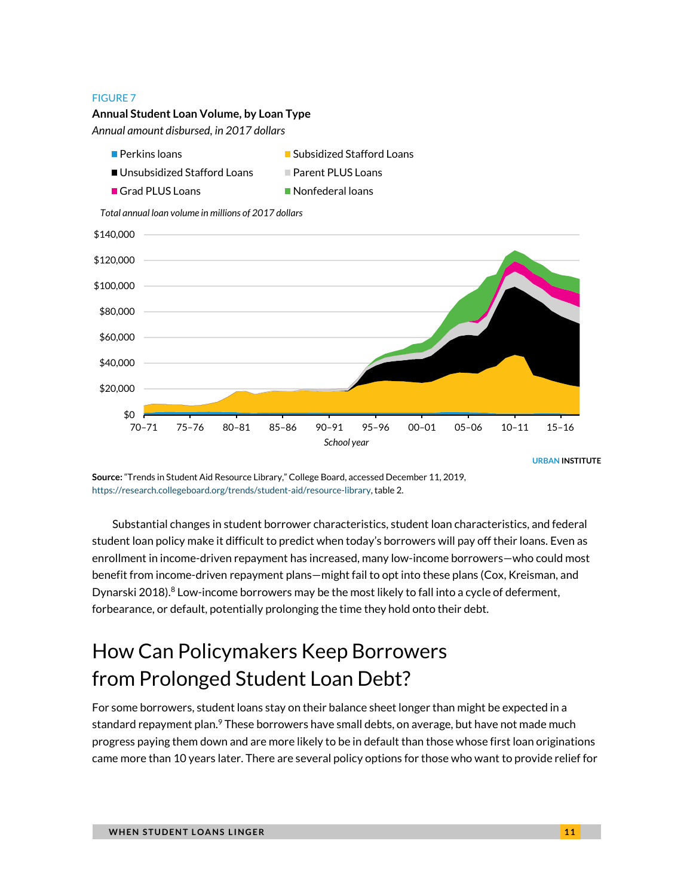### **Annual Student Loan Volume, by Loan Type**

*Annual amount disbursed, in 2017 dollars*

- $\blacksquare$  Perkins loans  $\blacksquare$  Subsidized Stafford Loans
- Unsubsidized Stafford Loans Parent PLUS Loans
- Grad PLUS Loans Nonfederal loans
- 

*Total annual loan volume in millions of 2017 dollars*



URBAN INSTITUTE

**Source:** "Trends in Student Aid Resource Library," College Board, accessed December 11, 2019, [https://research.collegeboard.org/trends/student-aid/resource-library,](https://research.collegeboard.org/trends/student-aid/resource-library) table 2.

Substantial changes in student borrower characteristics, student loan characteristics, and federal student loan policy make it difficult to predict when today's borrowers will pay off their loans. Even as enrollment in income-driven repayment has increased, many low-income borrowers—who could most benefit from income-driven repayment plans—might fail to opt into these plans (Cox, Kreisman, and Dynarski 2018). <sup>8</sup> Low-income borrowers may be the most likely to fall into a cycle of deferment, forbearance, or default, potentially prolonging the time they hold onto their debt.

# How Can Policymakers Keep Borrowers from Prolonged Student Loan Debt?

For some borrowers, student loans stay on their balance sheet longer than might be expected in a standard repayment plan.<sup>9</sup> These borrowers have small debts, on average, but have not made much progress paying them down and are more likely to be in default than those whose first loan originations came more than 10 years later. There are several policy options for those who want to provide relief for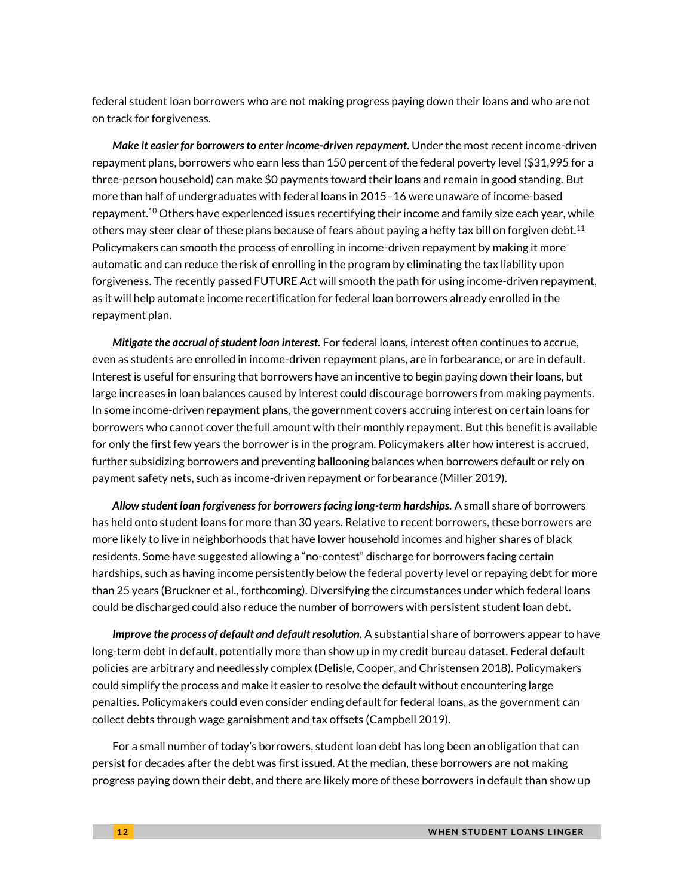federal student loan borrowers who are not making progress paying down their loans and who are not on track for forgiveness.

*Make it easier for borrowers to enter income-driven repayment***.** Under the most recent income-driven repayment plans, borrowers who earn less than 150 percent of the federal poverty level (\$31,995 for a three-person household) can make \$0 payments toward their loans and remain in good standing. But more than half of undergraduates with federal loans in 2015–16 were unaware of income-based repayment. <sup>10</sup> Others have experienced issues recertifying their income and family size each year, while others may steer clear of these plans because of fears about paying a hefty tax bill on forgiven debt.<sup>11</sup> Policymakers can smooth the process of enrolling in income-driven repayment by making it more automatic and can reduce the risk of enrolling in the program by eliminating the tax liability upon forgiveness. The recently passed FUTURE Act will smooth the path for using income-driven repayment, as it will help automate income recertification for federal loan borrowers already enrolled in the repayment plan.

*Mitigate the accrual of student loan interest.* For federal loans, interest often continues to accrue, even as students are enrolled in income-driven repayment plans, are in forbearance, or are in default. Interest is useful for ensuring that borrowers have an incentive to begin paying down their loans, but large increases in loan balances caused by interest could discourage borrowers from making payments. In some income-driven repayment plans, the government covers accruing interest on certain loans for borrowers who cannot cover the full amount with their monthly repayment. But this benefit is available for only the first few years the borrower is in the program. Policymakers alter how interest is accrued, further subsidizing borrowers and preventing ballooning balances when borrowers default or rely on payment safety nets, such as income-driven repayment or forbearance (Miller 2019).

*Allow student loan forgiveness for borrowers facing long-term hardships.* A small share of borrowers has held onto student loans for more than 30 years. Relative to recent borrowers, these borrowers are more likely to live in neighborhoods that have lower household incomes and higher shares of black residents. Some have suggested allowing a "no-contest" discharge for borrowers facing certain hardships, such as having income persistently below the federal poverty level or repaying debt for more than 25 years (Bruckner et al., forthcoming). Diversifying the circumstances under which federal loans could be discharged could also reduce the number of borrowers with persistent student loan debt.

*Improve the process of default and default resolution.* A substantial share of borrowers appear to have long-term debt in default, potentially more than show up in my credit bureau dataset. Federal default policies are arbitrary and needlessly complex (Delisle, Cooper, and Christensen 2018). Policymakers could simplify the process and make it easier to resolve the default without encountering large penalties. Policymakers could even consider ending default for federal loans, as the government can collect debts through wage garnishment and tax offsets (Campbell 2019).

For a small number of today's borrowers, student loan debt has long been an obligation that can persist for decades after the debt was first issued. At the median, these borrowers are not making progress paying down their debt, and there are likely more of these borrowers in default than show up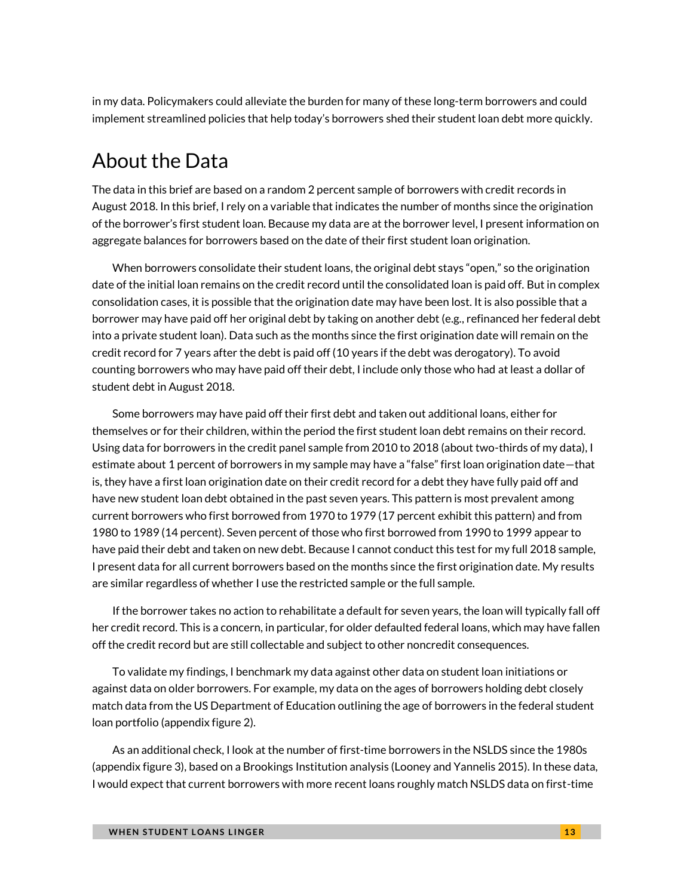in my data. Policymakers could alleviate the burden for many of these long-term borrowers and could implement streamlined policies that help today's borrowers shed their student loan debt more quickly.

# About the Data

The data in this brief are based on a random 2 percent sample of borrowers with credit records in August 2018. In this brief, I rely on a variable that indicates the number of months since the origination of the borrower's first student loan. Because my data are at the borrower level, I present information on aggregate balances for borrowers based on the date of their first student loan origination.

When borrowers consolidate their student loans, the original debt stays "open," so the origination date of the initial loan remains on the credit record until the consolidated loan is paid off. But in complex consolidation cases, it is possible that the origination date may have been lost. It is also possible that a borrower may have paid off her original debt by taking on another debt (e.g., refinanced her federal debt into a private student loan). Data such as the months since the first origination date will remain on the credit record for 7 years after the debt is paid off (10 years if the debt was derogatory). To avoid counting borrowers who may have paid off their debt, I include only those who had at least a dollar of student debt in August 2018.

Some borrowers may have paid off their first debt and taken out additional loans, either for themselves or for their children, within the period the first student loan debt remains on their record. Using data for borrowers in the credit panel sample from 2010 to 2018 (about two-thirds of my data), I estimate about 1 percent of borrowers in my sample may have a "false" first loan origination date—that is, they have a first loan origination date on their credit record for a debt they have fully paid off and have new student loan debt obtained in the past seven years. This pattern is most prevalent among current borrowers who first borrowed from 1970 to 1979 (17 percent exhibit this pattern) and from 1980 to 1989 (14 percent). Seven percent of those who first borrowed from 1990 to 1999 appear to have paid their debt and taken on new debt. Because I cannot conduct this test for my full 2018 sample, I present data for all current borrowers based on the months since the first origination date. My results are similar regardless of whether I use the restricted sample or the full sample.

If the borrower takes no action to rehabilitate a default for seven years, the loan will typically fall off her credit record. This is a concern, in particular, for older defaulted federal loans, which may have fallen off the credit record but are still collectable and subject to other noncredit consequences.

To validate my findings, I benchmark my data against other data on student loan initiations or against data on older borrowers. For example, my data on the ages of borrowers holding debt closely match data from the US Department of Education outlining the age of borrowers in the federal student loan portfolio (appendix figure 2).

As an additional check, I look at the number of first-time borrowers in the NSLDS since the 1980s (appendix figure 3), based on a Brookings Institution analysis (Looney and Yannelis 2015). In these data, I would expect that current borrowers with more recent loans roughly match NSLDS data on first-time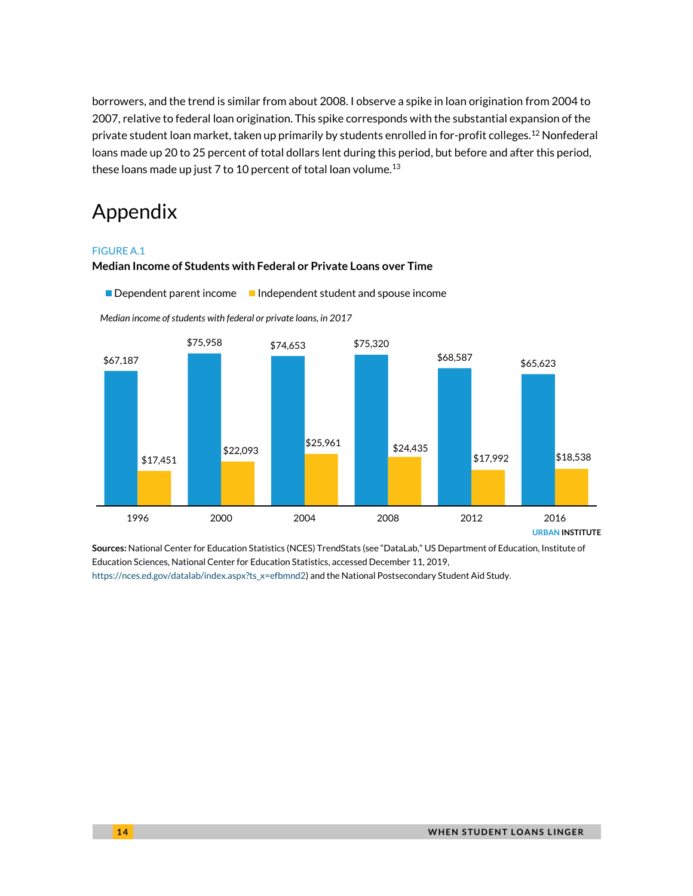borrowers, and the trend is similar from about 2008. I observe a spike in loan origination from 2004 to 2007, relative to federal loan origination. This spike corresponds with the substantial expansion of the private student loan market, taken up primarily by students enrolled in for-profit colleges.<sup>12</sup> Nonfederal loans made up 20 to 25 percent of total dollars lent during this period, but before and after this period, these loans made up just 7 to 10 percent of total loan volume.<sup>13</sup>

# Appendix

### FIGURE A.1

### **Median Income of Students with Federal or Private Loans over Time**

Dependent parent income Independent student and spouse income

URBAN INSTITUTE \$67,187 \$75,958 \$74,653 \$75,320  $$68,587$   $$65,623$ \$17,451  $$22,093$   $$25,961$   $$24,435$ \$17,992 \$18,538 1996 2000 2004 2008 2012 2016

*Median income of students with federal or private loans, in 2017* 

**Sources:** National Center for Education Statistics (NCES) TrendStats (see "DataLab," US Department of Education, Institute of Education Sciences, National Center for Education Statistics, accessed December 11, 2019, [https://nces.ed.gov/datalab/index.aspx?ts\\_x=efbmnd2\)](https://nces.ed.gov/datalab/index.aspx?ts_x=efbmnd2) and the National Postsecondary Student Aid Study.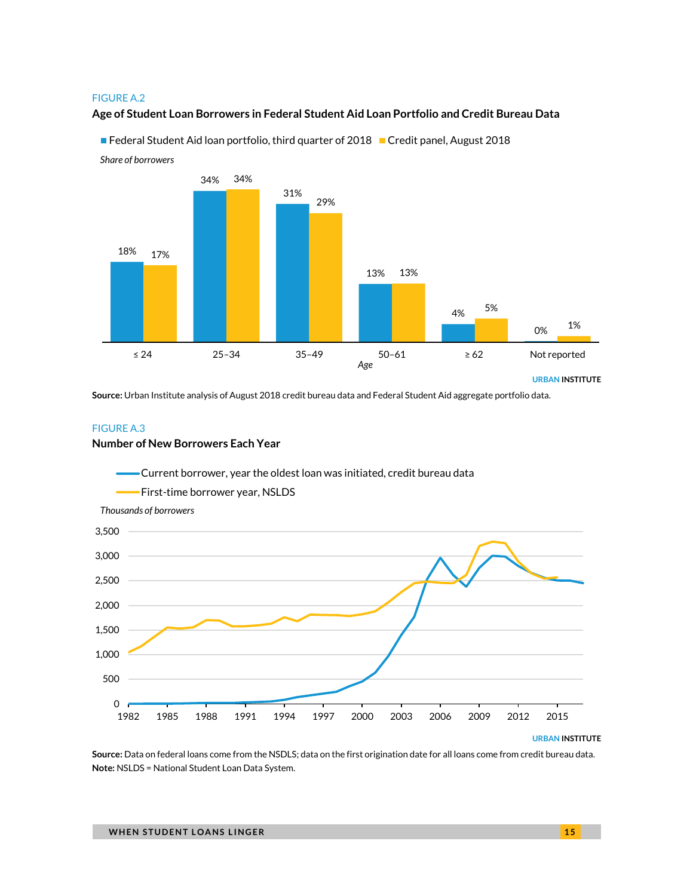#### FIGURE A.2

*Share of borrowers*

### **Age of Student Loan Borrowers in Federal Student Aid Loan Portfolio and Credit Bureau Data**

URBAN INSTITUTE 18% 34% 31% 13% 4% 0% 17% 34% 29% 13% 5% 1% ≤ 24 25–34 35–49 50–61 ≥ 62 Not reported *Age* 

Federal Student Aid loan portfolio, third quarter of 2018 Credit panel, August 2018

**Source:** Urban Institute analysis of August 2018 credit bureau data and Federal Student Aid aggregate portfolio data.

#### FIGURE A.3

#### **Number of New Borrowers Each Year**



**Source:** Data on federal loans come from the NSDLS; data on the first origination date for all loans come from credit bureau data. **Note:** NSLDS = National Student Loan Data System.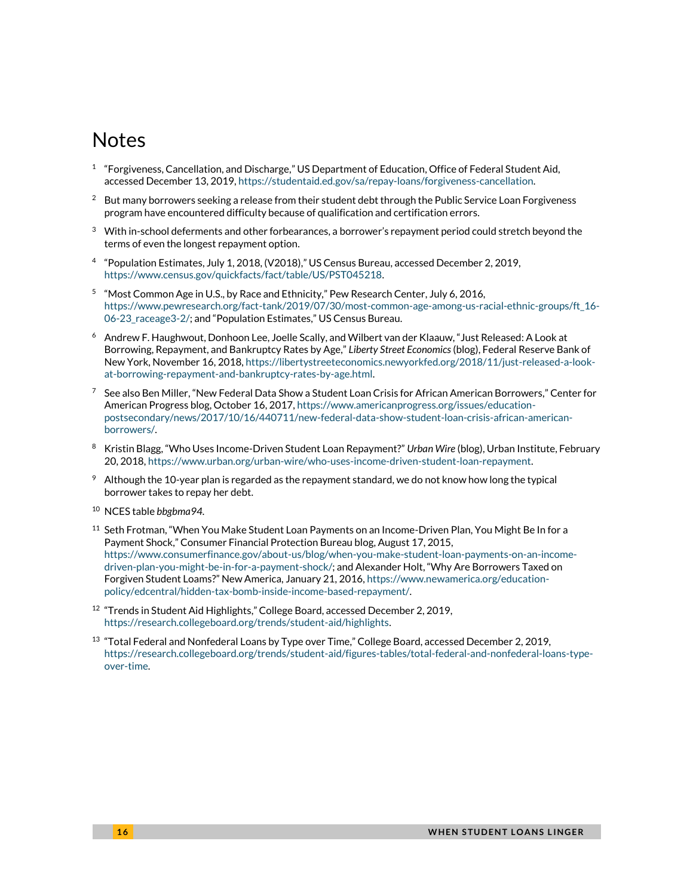# Notes

- $^{\rm 1}$  "Forgiveness, Cancellation, and Discharge," US Department of Education, Office of Federal Student Aid, accessed December 13, 2019, [https://studentaid.ed.gov/sa/repay-loans/forgiveness-cancellation.](https://studentaid.ed.gov/sa/repay-loans/forgiveness-cancellation)
- $2$  But many borrowers seeking a release from their student debt through the Public Service Loan Forgiveness program have encountered difficulty because of qualification and certification errors.
- $3$  With in-school deferments and other forbearances, a borrower's repayment period could stretch beyond the terms of even the longest repayment option.
- 4 "Population Estimates, July 1, 2018, (V2018)," US Census Bureau, accessed December 2, 2019, [https://www.census.gov/quickfacts/fact/table/US/PST045218.](https://www.census.gov/quickfacts/fact/table/US/PST045218)
- $^5$  "Most Common Age in U.S., by Race and Ethnicity," Pew Research Center, July 6, 2016, [https://www.pewresearch.org/fact-tank/2019/07/30/most-common-age-among-us-racial-ethnic-groups/ft\\_16-](https://www.pewresearch.org/fact-tank/2019/07/30/most-common-age-among-us-racial-ethnic-groups/ft_16-06-23_raceage3-2/) [06-23\\_raceage3-2/;](https://www.pewresearch.org/fact-tank/2019/07/30/most-common-age-among-us-racial-ethnic-groups/ft_16-06-23_raceage3-2/) and "Population Estimates," US Census Bureau.
- <sup>6</sup> Andrew F. Haughwout, Donhoon Lee, Joelle Scally, and Wilbert van der Klaauw, "Just Released: A Look at Borrowing, Repayment, and Bankruptcy Rates by Age," *Liberty Street Economics* (blog), Federal Reserve Bank of New York, November 16, 2018[, https://libertystreeteconomics.newyorkfed.org/2018/11/just-released-a-look](https://libertystreeteconomics.newyorkfed.org/2018/11/just-released-a-look-at-borrowing-repayment-and-bankruptcy-rates-by-age.html)[at-borrowing-repayment-and-bankruptcy-rates-by-age.html.](https://libertystreeteconomics.newyorkfed.org/2018/11/just-released-a-look-at-borrowing-repayment-and-bankruptcy-rates-by-age.html)
- $^7$  See also Ben Miller, "New Federal Data Show a Student Loan Crisis for African American Borrowers," Center for American Progress blog, October 16, 2017[, https://www.americanprogress.org/issues/education](https://www.americanprogress.org/issues/education-postsecondary/news/2017/10/16/440711/new-federal-data-show-student-loan-crisis-african-american-borrowers/)[postsecondary/news/2017/10/16/440711/new-federal-data-show-student-loan-crisis-african-american](https://www.americanprogress.org/issues/education-postsecondary/news/2017/10/16/440711/new-federal-data-show-student-loan-crisis-african-american-borrowers/)[borrowers/.](https://www.americanprogress.org/issues/education-postsecondary/news/2017/10/16/440711/new-federal-data-show-student-loan-crisis-african-american-borrowers/)
- <sup>8</sup> Kristin Blagg, "Who Uses Income-Driven Student Loan Repayment?" *Urban Wire* (blog), Urban Institute, February 20, 2018[, https://www.urban.org/urban-wire/who-uses-income-driven-student-loan-repayment.](https://www.urban.org/urban-wire/who-uses-income-driven-student-loan-repayment)
- $9$  Although the 10-year plan is regarded as the repayment standard, we do not know how long the typical borrower takes to repay her debt.
- <sup>10</sup> NCES table *bbgbma94.*
- $11$  Seth Frotman, "When You Make Student Loan Payments on an Income-Driven Plan, You Might Be In for a Payment Shock," Consumer Financial Protection Bureau blog, August 17, 2015, [https://www.consumerfinance.gov/about-us/blog/when-you-make-student-loan-payments-on-an-income](https://www.consumerfinance.gov/about-us/blog/when-you-make-student-loan-payments-on-an-income-driven-plan-you-might-be-in-for-a-payment-shock/)[driven-plan-you-might-be-in-for-a-payment-shock/;](https://www.consumerfinance.gov/about-us/blog/when-you-make-student-loan-payments-on-an-income-driven-plan-you-might-be-in-for-a-payment-shock/) and Alexander Holt, "Why Are Borrowers Taxed on Forgiven Student Loams?" New America, January 21, 2016, [https://www.newamerica.org/education](https://www.newamerica.org/education-policy/edcentral/hidden-tax-bomb-inside-income-based-repayment/)[policy/edcentral/hidden-tax-bomb-inside-income-based-repayment/.](https://www.newamerica.org/education-policy/edcentral/hidden-tax-bomb-inside-income-based-repayment/)
- <sup>12</sup> "Trends in Student Aid Highlights," College Board, accessed December 2, 2019, [https://research.collegeboard.org/trends/student-aid/highlights.](https://research.collegeboard.org/trends/student-aid/highlights)
- <sup>13</sup> "Total Federal and Nonfederal Loans by Type over Time," College Board, accessed December 2, 2019, [https://research.collegeboard.org/trends/student-aid/figures-tables/total-federal-and-nonfederal-loans-type](https://research.collegeboard.org/trends/student-aid/figures-tables/total-federal-and-nonfederal-loans-type-over-time)[over-time.](https://research.collegeboard.org/trends/student-aid/figures-tables/total-federal-and-nonfederal-loans-type-over-time)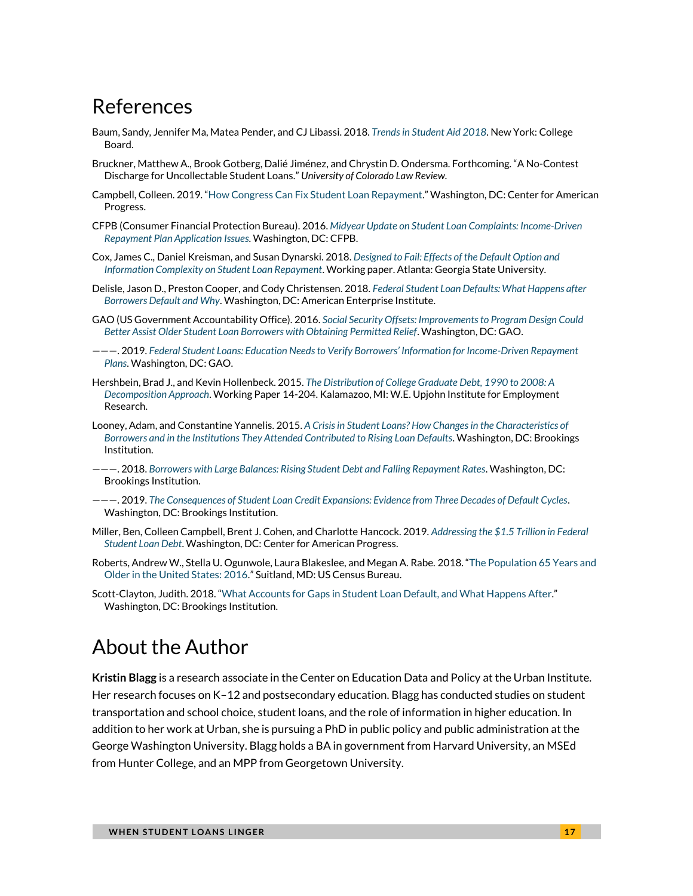# References

- Baum, Sandy, Jennifer Ma, Matea Pender, and CJ Libassi. 2018. *[Trends in Student Aid 2018](https://research.collegeboard.org/pdf/trends-student-aid-2019-full-report.pdf)*. New York: College Board.
- Bruckner, Matthew A., Brook Gotberg, Dalié Jiménez, and Chrystin D. Ondersma. Forthcoming. "A No-Contest Discharge for Uncollectable Student Loans." *University of Colorado Law Review.*
- Campbell, Colleen. 2019. "[How Congress Can Fix Student Loan Repayment.](https://www.americanprogress.org/issues/education-postsecondary/reports/2019/03/07/467005/congress-can-fix-student-loan-repayment/)" Washington, DC: Center for American Progress.
- CFPB (Consumer Financial Protection Bureau). 2016. *[Midyear Update on Student Loan Complaints:](https://files.consumerfinance.gov/f/documents/201608_cfpb_StudentLoanOmbudsmanMidYearReport.pdf) Income-Driven [Repayment Plan Application Issues](https://files.consumerfinance.gov/f/documents/201608_cfpb_StudentLoanOmbudsmanMidYearReport.pdf)*. Washington, DC: CFPB.
- Cox, James C., Daniel Kreisman, and Susan Dynarski. 2018. *Designed to Fail: [Effects of the Default Option and](http://excen.gsu.edu/workingpapers/GSU_EXCEN_WP_2018-04.pdf)  [Information Complexity on Student Loan Repayment](http://excen.gsu.edu/workingpapers/GSU_EXCEN_WP_2018-04.pdf)*. Working paper. Atlanta: Georgia State University.
- Delisle, Jason D., Preston Cooper, and Cody Christensen. 2018. *[Federal Student Loan Defaults: What Happens after](https://www.aei.org/research-products/report/federal-student-loan-defaults-what-happens-after-borrowers-default-and-why/)  [Borrowers Default and Why](https://www.aei.org/research-products/report/federal-student-loan-defaults-what-happens-after-borrowers-default-and-why/)*. Washington, DC: American Enterprise Institute.
- GAO (US Government Accountability Office). 2016. *[Social Security Offsets: Improvements to Program Design Could](https://www.gao.gov/assets/690/681722.pdf)  [Better Assist Older Student Loan Borrowers with Obtaining Permitted Relief](https://www.gao.gov/assets/690/681722.pdf)*. Washington, DC: GAO.
- ———. 2019. *[Federal Student Loans: Education Needs to Verify Borrowers' Information for Income](https://www.gao.gov/assets/700/699968.pdf)-Driven Repayment [Plans](https://www.gao.gov/assets/700/699968.pdf)*. Washington, DC: GAO.
- Hershbein, Brad J., and Kevin Hollenbeck. 2015. *[The Distribution of College Graduate Debt, 1990 to 2008: A](https://research.upjohn.org/cgi/viewcontent.cgi?article=1221&context=up_workingpapers)  [Decomposition Approach](https://research.upjohn.org/cgi/viewcontent.cgi?article=1221&context=up_workingpapers)*. Working Paper 14-204. Kalamazoo, MI: W.E. Upjohn Institute for Employment Research.
- Looney, Adam, and Constantine Yannelis. 2015. *[A Crisis in Student Loans? How Changes in the Characteristics of](https://www.brookings.edu/wp-content/uploads/2016/07/PDFLooneyTextFallBPEA.pdf)  [Borrowers and in the Institutions They Attended Contributed to Rising Loan Defaults](https://www.brookings.edu/wp-content/uploads/2016/07/PDFLooneyTextFallBPEA.pdf)*. Washington, DC: Brookings Institution.
- ———. 2018. *[Borrowers with Large Balances: Rising Student Debt and Falling Repayment Rates](https://www.brookings.edu/wp-content/uploads/2018/02/es_20180216_looneylargebalances.pdf)*. Washington, DC: Brookings Institution.
- ———. 2019. *[The Consequences of Student Loan Credit Expansions: Evidence from Three Decades of Default Cycles](https://www.brookings.edu/wp-content/uploads/2019/07/ES_20190701_LooneyYannelis_Student-Loans-Credit-Supply.pdf)*. Washington, DC: Brookings Institution.
- Miller, Ben, Colleen Campbell, Brent J. Cohen, and Charlotte Hancock. 2019. *[Addressing the \\$1.5 Trillion in Federal](https://www.americanprogress.org/issues/education-postsecondary/reports/2019/06/12/470893/addressing-1-5-trillion-federal-student-loan-debt/)  [Student Loan Debt](https://www.americanprogress.org/issues/education-postsecondary/reports/2019/06/12/470893/addressing-1-5-trillion-federal-student-loan-debt/)*. Washington, DC: Center for American Progress.
- Roberts, Andrew W., Stella U. Ogunwole, Laura Blakeslee, and Megan A. Rabe. 2018. "[The Population 65 Years and](https://www.census.gov/content/dam/Census/library/publications/2018/acs/ACS-38.pdf)  [Older in the United States: 2016.](https://www.census.gov/content/dam/Census/library/publications/2018/acs/ACS-38.pdf)" Suitland, MD: US Census Bureau.
- Scott-Clayton, Judith. 2018. "[What Accounts for Gaps in Student Loan Default, and What Happens After.](https://www.brookings.edu/research/what-accounts-for-gaps-in-student-loan-default-and-what-happens-after/)" Washington, DC: Brookings Institution.

# About the Author

**Kristin Blagg** is a research associate in the Center on Education Data and Policy at the Urban Institute. Her research focuses on K–12 and postsecondary education. Blagg has conducted studies on student transportation and school choice, student loans, and the role of information in higher education. In addition to her work at Urban, she is pursuing a PhD in public policy and public administration at the George Washington University. Blagg holds a BA in government from Harvard University, an MSEd from Hunter College, and an MPP from Georgetown University.